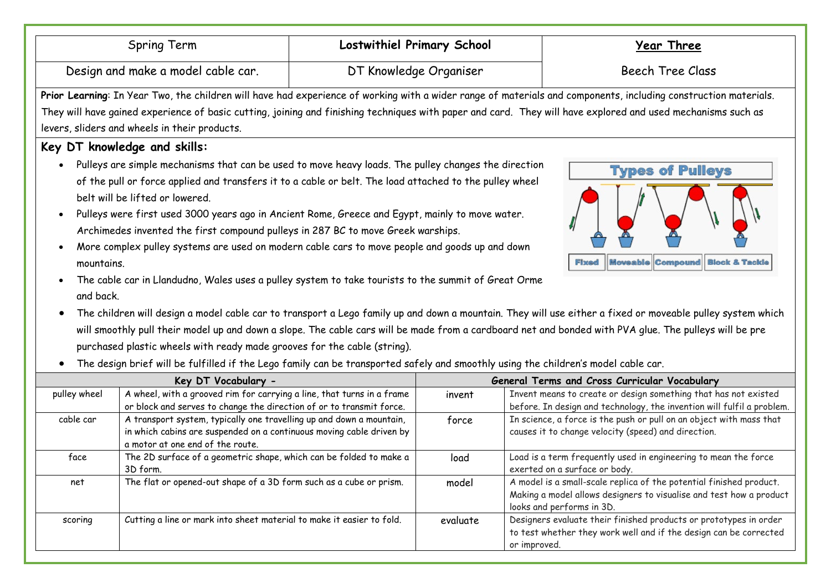|                                                                                                                                    | Spring Term                                                                                                                                                                                                                                                                                                                                                                                                                                                                                                                                                                                                                                                                                                                    | <b>Lostwithiel Primary School</b> |                         | <b>Year Three</b>                                                                                                                                                                                                                                                                                                                                                                                        |  |
|------------------------------------------------------------------------------------------------------------------------------------|--------------------------------------------------------------------------------------------------------------------------------------------------------------------------------------------------------------------------------------------------------------------------------------------------------------------------------------------------------------------------------------------------------------------------------------------------------------------------------------------------------------------------------------------------------------------------------------------------------------------------------------------------------------------------------------------------------------------------------|-----------------------------------|-------------------------|----------------------------------------------------------------------------------------------------------------------------------------------------------------------------------------------------------------------------------------------------------------------------------------------------------------------------------------------------------------------------------------------------------|--|
| DT Knowledge Organiser<br>Design and make a model cable car.                                                                       |                                                                                                                                                                                                                                                                                                                                                                                                                                                                                                                                                                                                                                                                                                                                |                                   | <b>Beech Tree Class</b> |                                                                                                                                                                                                                                                                                                                                                                                                          |  |
|                                                                                                                                    |                                                                                                                                                                                                                                                                                                                                                                                                                                                                                                                                                                                                                                                                                                                                |                                   |                         | Prior Learning: In Year Two, the children will have had experience of working with a wider range of materials and components, including construction materials.                                                                                                                                                                                                                                          |  |
|                                                                                                                                    |                                                                                                                                                                                                                                                                                                                                                                                                                                                                                                                                                                                                                                                                                                                                |                                   |                         | They will have gained experience of basic cutting, joining and finishing techniques with paper and card. They will have explored and used mechanisms such as                                                                                                                                                                                                                                             |  |
|                                                                                                                                    | levers, sliders and wheels in their products.                                                                                                                                                                                                                                                                                                                                                                                                                                                                                                                                                                                                                                                                                  |                                   |                         |                                                                                                                                                                                                                                                                                                                                                                                                          |  |
|                                                                                                                                    | Key DT knowledge and skills:                                                                                                                                                                                                                                                                                                                                                                                                                                                                                                                                                                                                                                                                                                   |                                   |                         |                                                                                                                                                                                                                                                                                                                                                                                                          |  |
| mountains.<br>and back.<br>$\bullet$                                                                                               | Pulleys are simple mechanisms that can be used to move heavy loads. The pulley changes the direction<br>of the pull or force applied and transfers it to a cable or belt. The load attached to the pulley wheel<br>belt will be lifted or lowered.<br>Pulleys were first used 3000 years ago in Ancient Rome, Greece and Egypt, mainly to move water.<br>Archimedes invented the first compound pulleys in 287 BC to move Greek warships.<br>More complex pulley systems are used on modern cable cars to move people and goods up and down<br>The cable car in Llandudno, Wales uses a pulley system to take tourists to the summit of Great Orme<br>purchased plastic wheels with ready made grooves for the cable (string). |                                   |                         | <b>Types of Pulleys</b><br><b>Fixed   Moveable Compound   Block &amp; Tackle</b><br>The children will design a model cable car to transport a Lego family up and down a mountain. They will use either a fixed or moveable pulley system which<br>will smoothly pull their model up and down a slope. The cable cars will be made from a cardboard net and bonded with PVA glue. The pulleys will be pre |  |
| The design brief will be fulfilled if the Lego family can be transported safely and smoothly using the children's model cable car. |                                                                                                                                                                                                                                                                                                                                                                                                                                                                                                                                                                                                                                                                                                                                |                                   |                         |                                                                                                                                                                                                                                                                                                                                                                                                          |  |
| pulley wheel                                                                                                                       | Key DT Vocabulary -<br>A wheel, with a grooved rim for carrying a line, that turns in a frame                                                                                                                                                                                                                                                                                                                                                                                                                                                                                                                                                                                                                                  |                                   | invent                  | General Terms and Cross Curricular Vocabulary<br>Invent means to create or design something that has not existed                                                                                                                                                                                                                                                                                         |  |
|                                                                                                                                    | or block and serves to change the direction of or to transmit force.                                                                                                                                                                                                                                                                                                                                                                                                                                                                                                                                                                                                                                                           |                                   |                         | before. In design and technology, the invention will fulfil a problem.                                                                                                                                                                                                                                                                                                                                   |  |
| cable car                                                                                                                          | A transport system, typically one travelling up and down a mountain,<br>in which cabins are suspended on a continuous moving cable driven by<br>a motor at one end of the route.                                                                                                                                                                                                                                                                                                                                                                                                                                                                                                                                               |                                   | force                   | In science, a force is the push or pull on an object with mass that<br>causes it to change velocity (speed) and direction.                                                                                                                                                                                                                                                                               |  |
| face                                                                                                                               | The 2D surface of a geometric shape, which can be folded to make a<br>3D form.                                                                                                                                                                                                                                                                                                                                                                                                                                                                                                                                                                                                                                                 |                                   | load                    | Load is a term frequently used in engineering to mean the force<br>exerted on a surface or body.                                                                                                                                                                                                                                                                                                         |  |
| net                                                                                                                                | The flat or opened-out shape of a 3D form such as a cube or prism.                                                                                                                                                                                                                                                                                                                                                                                                                                                                                                                                                                                                                                                             |                                   | model                   | A model is a small-scale replica of the potential finished product.<br>Making a model allows designers to visualise and test how a product<br>looks and performs in 3D.                                                                                                                                                                                                                                  |  |

scoring Cutting a line or mark into sheet material to make it easier to fold. evaluate Designers evaluate their finished products or prototypes in order

to test whether they work well and if the design can be corrected

or improved.